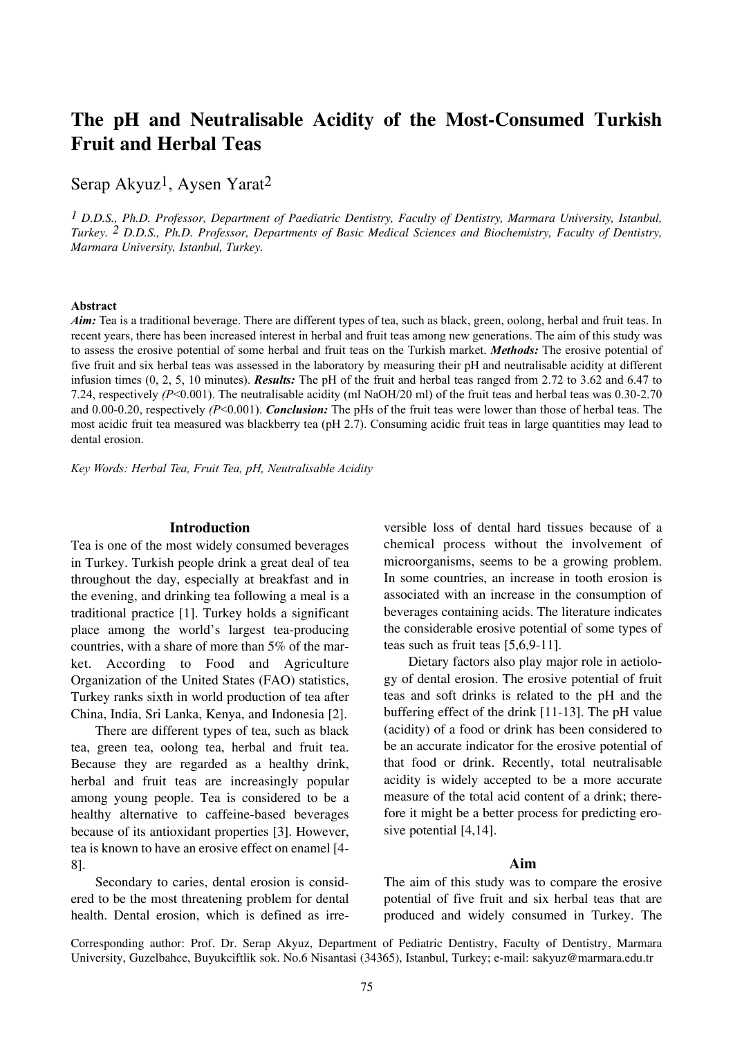# **The pH and Neutralisable Acidity of the Most-Consumed Turkish Fruit and Herbal Teas**

Serap Akyuz<sup>1</sup>, Aysen Yarat<sup>2</sup>

*1 D.D.S., Ph.D. Professor, Department of Paediatric Dentistry, Faculty of Dentistry, Marmara University, Istanbul, Turkey. 2 D.D.S., Ph.D. Professor, Departments of Basic Medical Sciences and Biochemistry, Faculty of Dentistry, Marmara University, Istanbul, Turkey.*

#### **Abstract**

*Aim:* Tea is a traditional beverage. There are different types of tea, such as black, green, oolong, herbal and fruit teas. In recent years, there has been increased interest in herbal and fruit teas among new generations. The aim of this study was to assess the erosive potential of some herbal and fruit teas on the Turkish market. *Methods:* The erosive potential of five fruit and six herbal teas was assessed in the laboratory by measuring their pH and neutralisable acidity at different infusion times (0, 2, 5, 10 minutes). *Results:* The pH of the fruit and herbal teas ranged from 2.72 to 3.62 and 6.47 to 7.24, respectively *(P*<0.001). The neutralisable acidity (ml NaOH/20 ml) of the fruit teas and herbal teas was 0.30-2.70 and  $0.00-0.20$ , respectively  $(P<0.001)$ . *Conclusion:* The pHs of the fruit teas were lower than those of herbal teas. The most acidic fruit tea measured was blackberry tea (pH 2.7). Consuming acidic fruit teas in large quantities may lead to dental erosion.

*Key Words: Herbal Tea, Fruit Tea, pH, Neutralisable Acidity*

### **Introduction**

Tea is one of the most widely consumed beverages in Turkey. Turkish people drink a great deal of tea throughout the day, especially at breakfast and in the evening, and drinking tea following a meal is a traditional practice [1]. Turkey holds a significant place among the world's largest tea-producing countries, with a share of more than 5% of the market. According to Food and Agriculture Organization of the United States (FAO) statistics, Turkey ranks sixth in world production of tea after China, India, Sri Lanka, Kenya, and Indonesia [2].

There are different types of tea, such as black tea, green tea, oolong tea, herbal and fruit tea. Because they are regarded as a healthy drink, herbal and fruit teas are increasingly popular among young people. Tea is considered to be a healthy alternative to caffeine-based beverages because of its antioxidant properties [3]. However, tea is known to have an erosive effect on enamel [4- 8].

Secondary to caries, dental erosion is considered to be the most threatening problem for dental health. Dental erosion, which is defined as irreversible loss of dental hard tissues because of a chemical process without the involvement of microorganisms, seems to be a growing problem. In some countries, an increase in tooth erosion is associated with an increase in the consumption of beverages containing acids. The literature indicates the considerable erosive potential of some types of teas such as fruit teas [5,6,9-11].

Dietary factors also play major role in aetiology of dental erosion. The erosive potential of fruit teas and soft drinks is related to the pH and the buffering effect of the drink [11-13]. The pH value (acidity) of a food or drink has been considered to be an accurate indicator for the erosive potential of that food or drink. Recently, total neutralisable acidity is widely accepted to be a more accurate measure of the total acid content of a drink; therefore it might be a better process for predicting erosive potential [4,14].

## **Aim**

The aim of this study was to compare the erosive potential of five fruit and six herbal teas that are produced and widely consumed in Turkey. The

Corresponding author: Prof. Dr. Serap Akyuz, Department of Pediatric Dentistry, Faculty of Dentistry, Marmara University, Guzelbahce, Buyukciftlik sok. No.6 Nisantasi (34365), Istanbul, Turkey; e-mail: sakyuz@marmara.edu.tr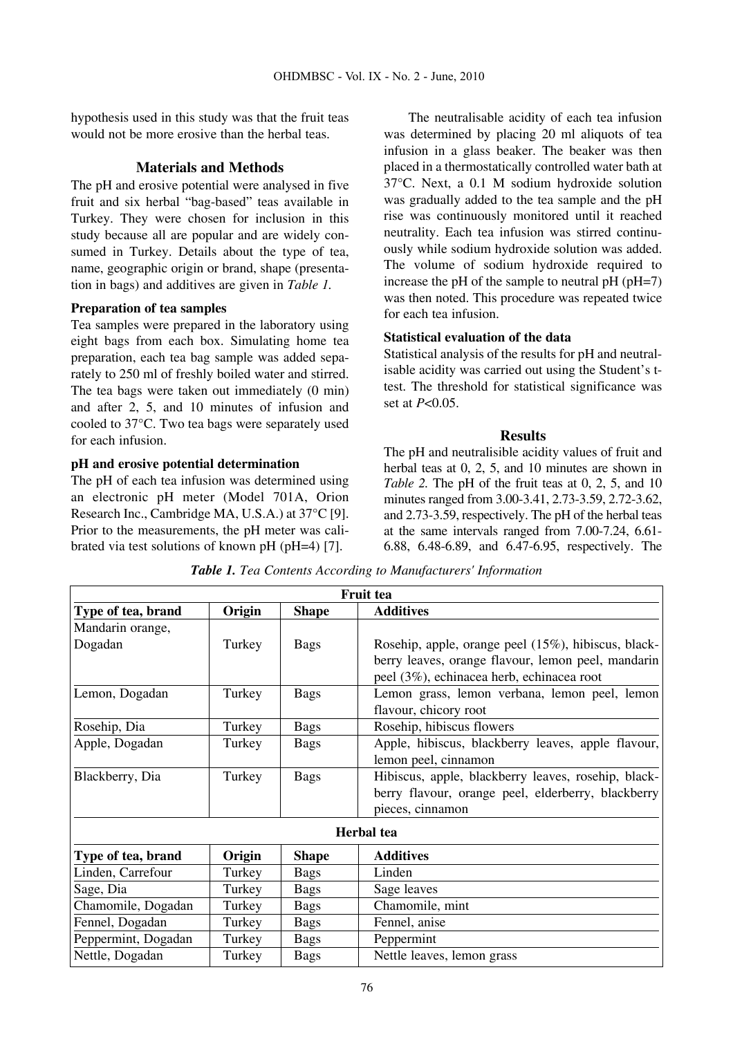hypothesis used in this study was that the fruit teas would not be more erosive than the herbal teas.

# **Materials and Methods**

The pH and erosive potential were analysed in five fruit and six herbal "bag-based" teas available in Turkey. They were chosen for inclusion in this study because all are popular and are widely consumed in Turkey. Details about the type of tea, name, geographic origin or brand, shape (presentation in bags) and additives are given in *Table 1.*

## **Preparation of tea samples**

Tea samples were prepared in the laboratory using eight bags from each box. Simulating home tea preparation, each tea bag sample was added separately to 250 ml of freshly boiled water and stirred. The tea bags were taken out immediately (0 min) and after 2, 5, and 10 minutes of infusion and cooled to 37°C. Two tea bags were separately used for each infusion.

# **pH and erosive potential determination**

The pH of each tea infusion was determined using an electronic pH meter (Model 701A, Orion Research Inc., Cambridge MA, U.S.A.) at 37°C [9]. Prior to the measurements, the pH meter was calibrated via test solutions of known pH (pH=4) [7].

The neutralisable acidity of each tea infusion was determined by placing 20 ml aliquots of tea infusion in a glass beaker. The beaker was then placed in a thermostatically controlled water bath at 37°C. Next, a 0.1 M sodium hydroxide solution was gradually added to the tea sample and the pH rise was continuously monitored until it reached neutrality. Each tea infusion was stirred continuously while sodium hydroxide solution was added. The volume of sodium hydroxide required to increase the pH of the sample to neutral pH (pH=7) was then noted. This procedure was repeated twice for each tea infusion.

## **Statistical evaluation of the data**

Statistical analysis of the results for pH and neutralisable acidity was carried out using the Student's ttest. The threshold for statistical significance was set at *P*<0.05.

## **Results**

The pH and neutralisible acidity values of fruit and herbal teas at 0, 2, 5, and 10 minutes are shown in *Table 2.* The pH of the fruit teas at 0, 2, 5, and 10 minutes ranged from 3.00-3.41, 2.73-3.59, 2.72-3.62, and 2.73-3.59, respectively. The pH of the herbal teas at the same intervals ranged from 7.00-7.24, 6.61- 6.88, 6.48-6.89, and 6.47-6.95, respectively. The

 $\overline{\phantom{a}}$ 

| r ruit tea          |        |              |                                                     |  |  |
|---------------------|--------|--------------|-----------------------------------------------------|--|--|
| Type of tea, brand  | Origin | <b>Shape</b> | <b>Additives</b>                                    |  |  |
| Mandarin orange,    |        |              |                                                     |  |  |
| Dogadan             | Turkey | <b>Bags</b>  | Rosehip, apple, orange peel (15%), hibiscus, black- |  |  |
|                     |        |              | berry leaves, orange flavour, lemon peel, mandarin  |  |  |
|                     |        |              | peel (3%), echinacea herb, echinacea root           |  |  |
| Lemon, Dogadan      | Turkey | <b>Bags</b>  | Lemon grass, lemon verbana, lemon peel, lemon       |  |  |
|                     |        |              | flavour, chicory root                               |  |  |
| Rosehip, Dia        | Turkey | <b>Bags</b>  | Rosehip, hibiscus flowers                           |  |  |
| Apple, Dogadan      | Turkey | <b>Bags</b>  | Apple, hibiscus, blackberry leaves, apple flavour,  |  |  |
|                     |        |              | lemon peel, cinnamon                                |  |  |
| Blackberry, Dia     | Turkey | <b>Bags</b>  | Hibiscus, apple, blackberry leaves, rosehip, black- |  |  |
|                     |        |              | berry flavour, orange peel, elderberry, blackberry  |  |  |
|                     |        |              | pieces, cinnamon                                    |  |  |
|                     |        |              | <b>Herbal</b> tea                                   |  |  |
| Type of tea, brand  | Origin | <b>Shape</b> | <b>Additives</b>                                    |  |  |
| Linden, Carrefour   | Turkey | <b>Bags</b>  | Linden                                              |  |  |
| Sage, Dia           | Turkey | <b>Bags</b>  | Sage leaves                                         |  |  |
| Chamomile, Dogadan  | Turkey | <b>Bags</b>  | Chamomile, mint                                     |  |  |
| Fennel, Dogadan     | Turkey | <b>Bags</b>  | Fennel, anise                                       |  |  |
| Peppermint, Dogadan | Turkey | <b>Bags</b>  | Peppermint                                          |  |  |
| Nettle, Dogadan     | Turkey | <b>Bags</b>  | Nettle leaves, lemon grass                          |  |  |

*Table 1. Tea Contents According to Manufacturers' Information*

**Fruit telection**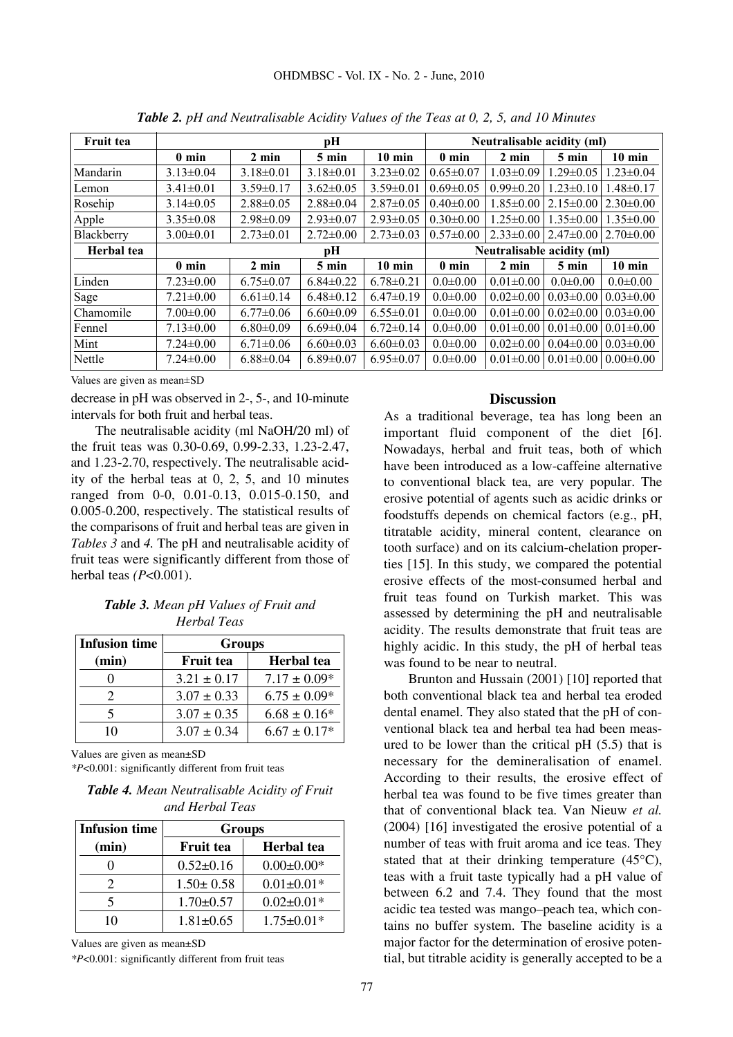| <b>Fruit tea</b> |                 |                 | pН              |                 |                            | Neutralisable acidity (ml) |                               |                 |
|------------------|-----------------|-----------------|-----------------|-----------------|----------------------------|----------------------------|-------------------------------|-----------------|
|                  | $0 \text{ min}$ | 2 min           | 5 min           | $10$ min        | $0 \text{ min}$            | $2 \text{ min}$            | 5 min                         | $10$ min        |
| Mandarin         | $3.13 \pm 0.04$ | $3.18 \pm 0.01$ | $3.18 \pm 0.01$ | $3.23 \pm 0.02$ | $0.65 \pm 0.07$            | $1.03 \pm 0.09$            | $1.29 \pm 0.05$               | $1.23 \pm 0.04$ |
| Lemon            | $3.41 \pm 0.01$ | $3.59 \pm 0.17$ | $3.62 \pm 0.05$ | $3.59 \pm 0.01$ | $0.69 \pm 0.05$            | $0.99 \pm 0.20$            | $1.23 \pm 0.10$               | $1.48 \pm 0.17$ |
| Rosehip          | $3.14\pm0.05$   | $2.88 \pm 0.05$ | $2.88 \pm 0.04$ | $2.87 \pm 0.05$ | $0.40 \pm 0.00$            | $1.85 \pm 0.00$            | $2.15\pm0.00$                 | $2.30\pm0.00$   |
| Apple            | $3.35 \pm 0.08$ | $2.98 \pm 0.09$ | $2.93 \pm 0.07$ | $2.93 \pm 0.05$ | $0.30 \pm 0.00$            | $1.25 \pm 0.00$            | $1.35 \pm 0.00$               | $1.35 \pm 0.00$ |
| Blackberry       | $3.00 \pm 0.01$ | $2.73 \pm 0.01$ | $2.72 \pm 0.00$ | $2.73 \pm 0.03$ | $0.57 \pm 0.00$            | $2.33\pm0.00$              | $2.47\pm0.00$   $2.70\pm0.00$ |                 |
| Herbal tea       |                 | pН              |                 |                 | Neutralisable acidity (ml) |                            |                               |                 |
|                  | $0 \text{ min}$ | 2 min           | $5 \text{ min}$ | $10$ min        | $0 \text{ min}$            | $2 \text{ min}$            | 5 min                         | $10$ min        |
| Linden           | $7.23 \pm 0.00$ | $6.75 \pm 0.07$ | $6.84\pm0.22$   | $6.78 \pm 0.21$ | $0.0 \pm 0.00$             | $0.01 \pm 0.00$            | $0.0 \pm 0.00$                | $0.0 \pm 0.00$  |
| Sage             | $7.21 \pm 0.00$ | $6.61 \pm 0.14$ | $6.48 \pm 0.12$ | $6.47\pm0.19$   | $0.0 \pm 0.00$             | $0.02 \pm 0.00$            | $0.03 \pm 0.00$               | $0.03 \pm 0.00$ |
| Chamomile        | $7.00 \pm 0.00$ | $6.77 \pm 0.06$ | $6.60 \pm 0.09$ | $6.55 \pm 0.01$ | $0.0 \pm 0.00$             | $0.01 \pm 0.00$            | $0.02 \pm 0.00$               | $0.03 \pm 0.00$ |
| Fennel           | $7.13 \pm 0.00$ | $6.80 \pm 0.09$ | $6.69 \pm 0.04$ | $6.72 \pm 0.14$ | $0.0 \pm 0.00$             | $0.01 \pm 0.00$            | $0.01 \pm 0.00$               | $0.01 \pm 0.00$ |
| Mint             | $7.24 \pm 0.00$ | $6.71 \pm 0.06$ | $6.60 \pm 0.03$ | $6.60 \pm 0.03$ | $0.0 \pm 0.00$             | $0.02 \pm 0.00$            | $0.04 \pm 0.00$               | $0.03 \pm 0.00$ |
| Nettle           | $7.24 \pm 0.00$ | $6.88 \pm 0.04$ | $6.89 \pm 0.07$ | $6.95 \pm 0.07$ | $0.0 \pm 0.00$             | $0.01 \pm 0.00$            | $0.01 \pm 0.00$               | $0.00 \pm 0.00$ |

*Table 2. pH and Neutralisable Acidity Values of the Teas at 0, 2, 5, and 10 Minutes*

Values are given as mean±SD

decrease in pH was observed in 2-, 5-, and 10-minute intervals for both fruit and herbal teas.

The neutralisable acidity (ml NaOH/20 ml) of the fruit teas was 0.30-0.69, 0.99-2.33, 1.23-2.47, and 1.23-2.70, respectively. The neutralisable acidity of the herbal teas at 0, 2, 5, and 10 minutes ranged from 0-0, 0.01-0.13, 0.015-0.150, and 0.005-0.200, respectively. The statistical results of the comparisons of fruit and herbal teas are given in *Tables 3* and *4.* The pH and neutralisable acidity of fruit teas were significantly different from those of herbal teas *(P*<0.001).

*Table 3. Mean pH Values of Fruit and Herbal Teas*

| <b>Infusion time</b> | <b>Groups</b>    |                   |  |
|----------------------|------------------|-------------------|--|
| (min)                | <b>Fruit tea</b> | <b>Herbal</b> tea |  |
|                      | $3.21 \pm 0.17$  | $7.17 \pm 0.09*$  |  |
| 2                    | $3.07 \pm 0.33$  | $6.75 \pm 0.09*$  |  |
|                      | $3.07 \pm 0.35$  | $6.68 \pm 0.16*$  |  |
| 10                   | $3.07 \pm 0.34$  | $6.67 \pm 0.17*$  |  |

Values are given as mean±SD *\*P*<0.001: significantly different from fruit teas

| <b>Table 4.</b> Mean Neutralisable Acidity of Fruit |
|-----------------------------------------------------|
| and Herbal Teas                                     |

| <b>Infusion time</b>  | <b>Groups</b>    |                   |  |
|-----------------------|------------------|-------------------|--|
| (min)                 | <b>Fruit tea</b> | <b>Herbal</b> tea |  |
|                       | $0.52 \pm 0.16$  | $0.00 \pm 0.00*$  |  |
| $\mathcal{D}_{\cdot}$ | $1.50 \pm 0.58$  | $0.01 \pm 0.01*$  |  |
|                       | $1.70 \pm 0.57$  | $0.02 \pm 0.01*$  |  |
| 10                    | $1.81 \pm 0.65$  | $1.75 \pm 0.01*$  |  |

Values are given as mean±SD

*\*P*<0.001: significantly different from fruit teas

# **Discussion**

As a traditional beverage, tea has long been an important fluid component of the diet [6]. Nowadays, herbal and fruit teas, both of which have been introduced as a low-caffeine alternative to conventional black tea, are very popular. The erosive potential of agents such as acidic drinks or foodstuffs depends on chemical factors (e.g., pH, titratable acidity, mineral content, clearance on tooth surface) and on its calcium-chelation properties [15]. In this study, we compared the potential erosive effects of the most-consumed herbal and fruit teas found on Turkish market. This was assessed by determining the pH and neutralisable acidity. The results demonstrate that fruit teas are highly acidic. In this study, the pH of herbal teas was found to be near to neutral.

Brunton and Hussain (2001) [10] reported that both conventional black tea and herbal tea eroded dental enamel. They also stated that the pH of conventional black tea and herbal tea had been measured to be lower than the critical pH (5.5) that is necessary for the demineralisation of enamel. According to their results, the erosive effect of herbal tea was found to be five times greater than that of conventional black tea. Van Nieuw *et al.* (2004) [16] investigated the erosive potential of a number of teas with fruit aroma and ice teas. They stated that at their drinking temperature  $(45^{\circ}C)$ , teas with a fruit taste typically had a pH value of between 6.2 and 7.4. They found that the most acidic tea tested was mango–peach tea, which contains no buffer system. The baseline acidity is a major factor for the determination of erosive potential, but titrable acidity is generally accepted to be a